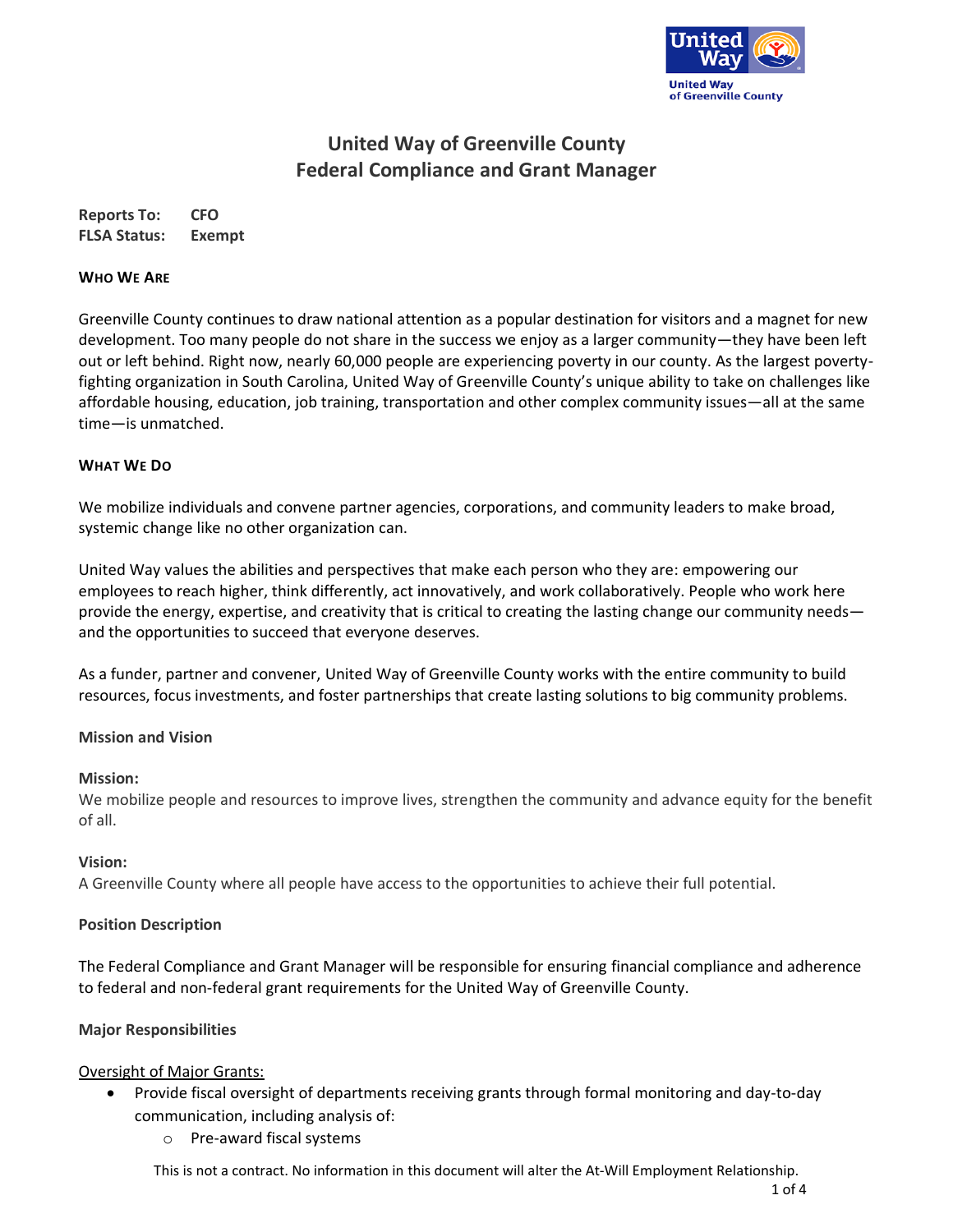

# **United Way of Greenville County Federal Compliance and Grant Manager**

**Reports To: CFO FLSA Status: Exempt**

#### **WHO WE ARE**

Greenville County continues to draw national attention as a popular destination for visitors and a magnet for new development. Too many people do not share in the success we enjoy as a larger community—they have been left out or left behind. Right now, nearly 60,000 people are experiencing poverty in our county. As the largest povertyfighting organization in South Carolina, United Way of Greenville County's unique ability to take on challenges like affordable housing, education, job training, transportation and other complex community issues—all at the same time—is unmatched.

#### **WHAT WE DO**

We mobilize individuals and convene partner agencies, corporations, and community leaders to make broad, systemic change like no other organization can.

United Way values the abilities and perspectives that make each person who they are: empowering our employees to reach higher, think differently, act innovatively, and work collaboratively. People who work here provide the energy, expertise, and creativity that is critical to creating the lasting change our community needs and the opportunities to succeed that everyone deserves.

As a funder, partner and convener, United Way of Greenville County works with the entire community to build resources, focus investments, and foster partnerships that create lasting solutions to big community problems.

#### **Mission and Vision**

#### **Mission:**

We mobilize people and resources to improve lives, strengthen the community and advance equity for the benefit of all.

#### **Vision:**

A Greenville County where all people have access to the opportunities to achieve their full potential.

#### **Position Description**

The Federal Compliance and Grant Manager will be responsible for ensuring financial compliance and adherence to federal and non-federal grant requirements for the United Way of Greenville County.

#### **Major Responsibilities**

#### Oversight of Major Grants:

- Provide fiscal oversight of departments receiving grants through formal monitoring and day-to-day communication, including analysis of:
	- o Pre-award fiscal systems

This is not a contract. No information in this document will alter the At-Will Employment Relationship.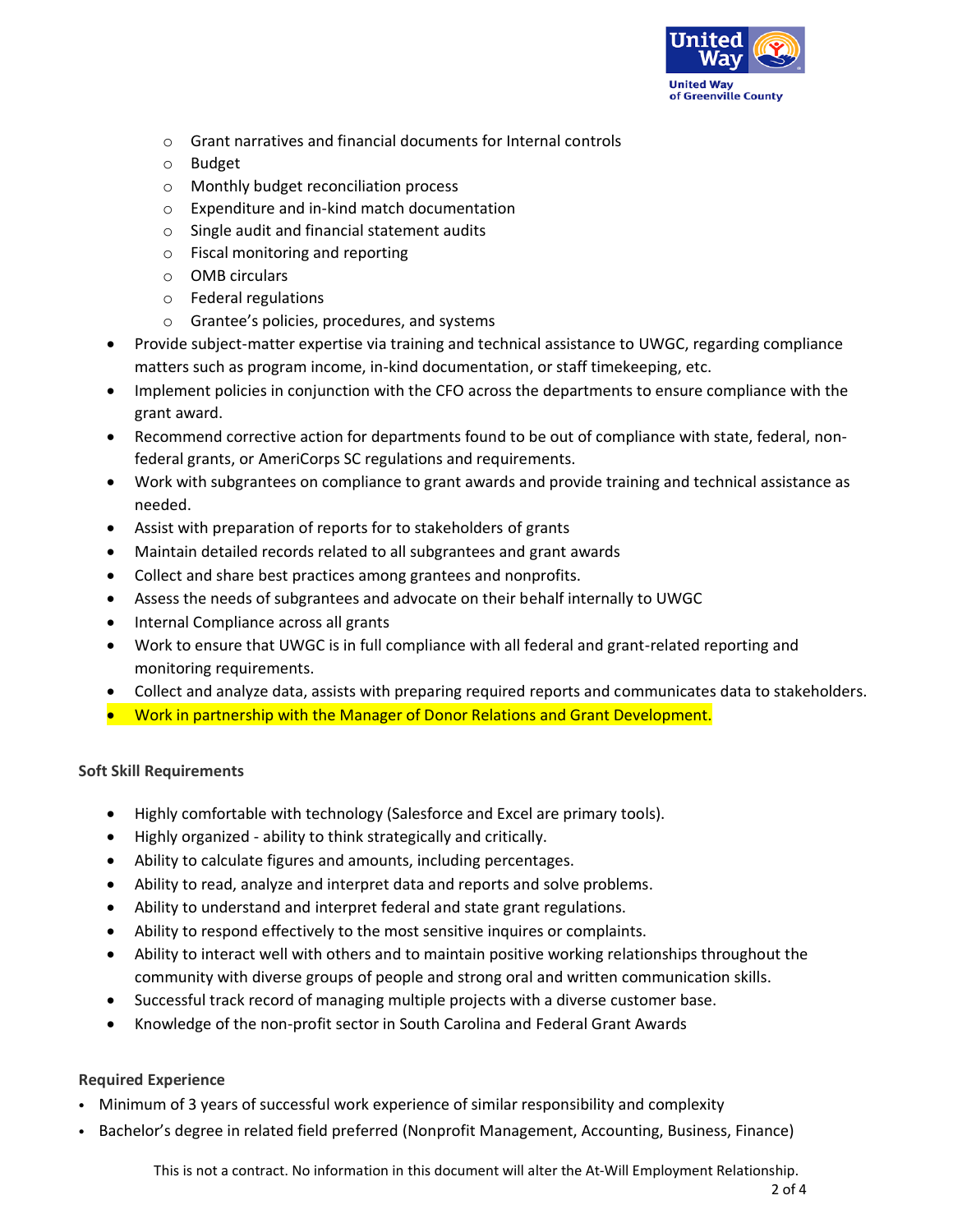

- o Grant narratives and financial documents for Internal controls
- o Budget
- o Monthly budget reconciliation process
- o Expenditure and in-kind match documentation
- o Single audit and financial statement audits
- o Fiscal monitoring and reporting
- o OMB circulars
- o Federal regulations
- o Grantee's policies, procedures, and systems
- Provide subject-matter expertise via training and technical assistance to UWGC, regarding compliance matters such as program income, in-kind documentation, or staff timekeeping, etc.
- Implement policies in conjunction with the CFO across the departments to ensure compliance with the grant award.
- Recommend corrective action for departments found to be out of compliance with state, federal, nonfederal grants, or AmeriCorps SC regulations and requirements.
- Work with subgrantees on compliance to grant awards and provide training and technical assistance as needed.
- Assist with preparation of reports for to stakeholders of grants
- Maintain detailed records related to all subgrantees and grant awards
- Collect and share best practices among grantees and nonprofits.
- Assess the needs of subgrantees and advocate on their behalf internally to UWGC
- Internal Compliance across all grants
- Work to ensure that UWGC is in full compliance with all federal and grant-related reporting and monitoring requirements.
- Collect and analyze data, assists with preparing required reports and communicates data to stakeholders.
- Work in partnership with the Manager of Donor Relations and Grant Development.

## **Soft Skill Requirements**

- Highly comfortable with technology (Salesforce and Excel are primary tools).
- Highly organized ability to think strategically and critically.
- Ability to calculate figures and amounts, including percentages.
- Ability to read, analyze and interpret data and reports and solve problems.
- Ability to understand and interpret federal and state grant regulations.
- Ability to respond effectively to the most sensitive inquires or complaints.
- Ability to interact well with others and to maintain positive working relationships throughout the community with diverse groups of people and strong oral and written communication skills.
- Successful track record of managing multiple projects with a diverse customer base.
- Knowledge of the non-profit sector in South Carolina and Federal Grant Awards

## **Required Experience**

- Minimum of 3 years of successful work experience of similar responsibility and complexity
- Bachelor's degree in related field preferred (Nonprofit Management, Accounting, Business, Finance)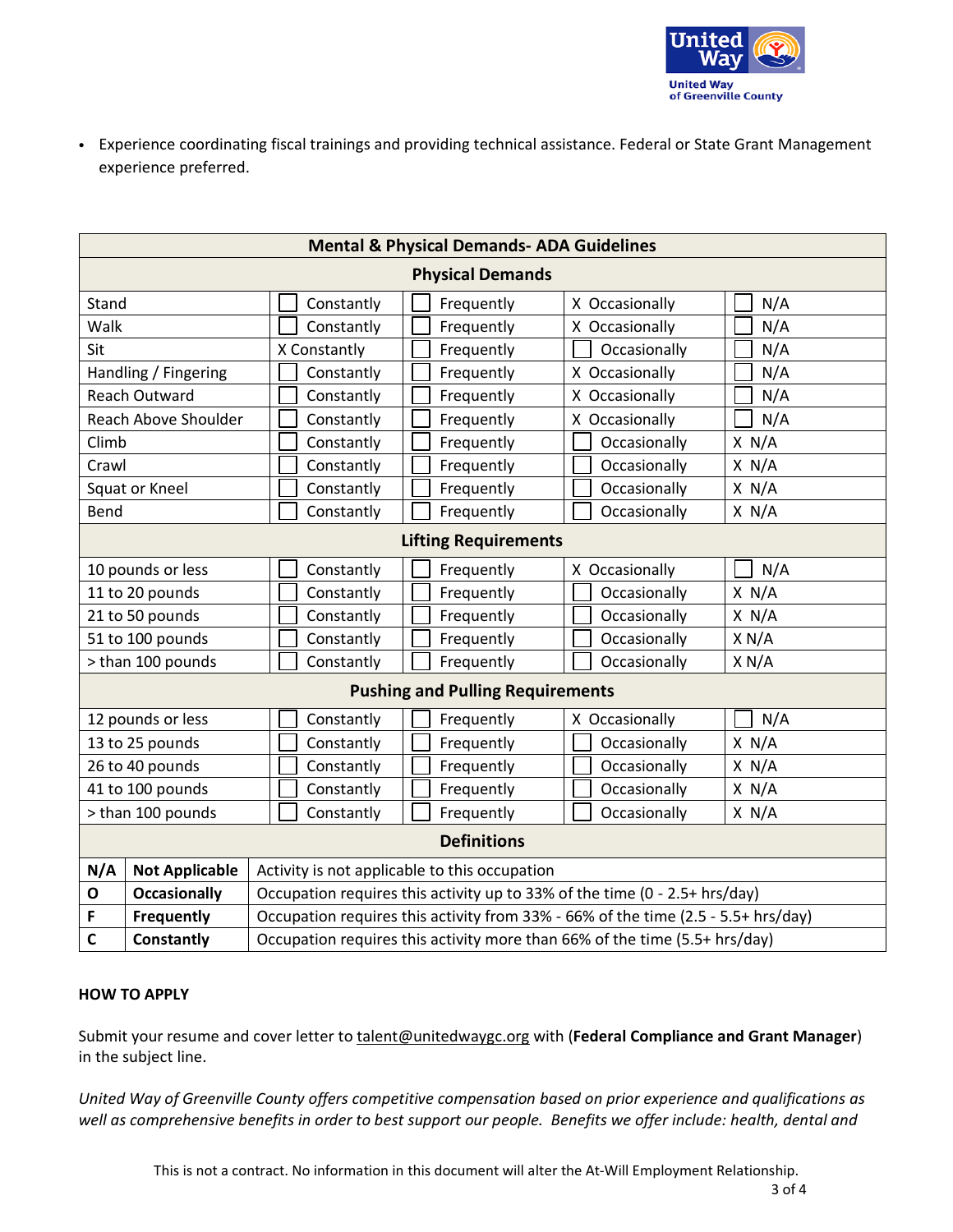

• Experience coordinating fiscal trainings and providing technical assistance. Federal or State Grant Management experience preferred.

| <b>Mental &amp; Physical Demands- ADA Guidelines</b> |                                                                                   |            |                |       |
|------------------------------------------------------|-----------------------------------------------------------------------------------|------------|----------------|-------|
| <b>Physical Demands</b>                              |                                                                                   |            |                |       |
| Stand                                                | Constantly                                                                        | Frequently | X Occasionally | N/A   |
| Walk                                                 | Constantly                                                                        | Frequently | X Occasionally | N/A   |
| Sit                                                  | X Constantly                                                                      | Frequently | Occasionally   | N/A   |
| Handling / Fingering                                 | Constantly                                                                        | Frequently | X Occasionally | N/A   |
| <b>Reach Outward</b>                                 | Constantly                                                                        | Frequently | X Occasionally | N/A   |
| Reach Above Shoulder                                 | Constantly                                                                        | Frequently | X Occasionally | N/A   |
| Climb                                                | Constantly                                                                        | Frequently | Occasionally   | X N/A |
| Crawl                                                | Constantly                                                                        | Frequently | Occasionally   | X N/A |
| Squat or Kneel                                       | Constantly                                                                        | Frequently | Occasionally   | X N/A |
| Bend                                                 | Constantly                                                                        | Frequently | Occasionally   | X N/A |
| <b>Lifting Requirements</b>                          |                                                                                   |            |                |       |
| 10 pounds or less                                    | Constantly                                                                        | Frequently | X Occasionally | N/A   |
| 11 to 20 pounds                                      | Constantly                                                                        | Frequently | Occasionally   | X N/A |
| 21 to 50 pounds                                      | Constantly                                                                        | Frequently | Occasionally   | X N/A |
| 51 to 100 pounds                                     | Constantly                                                                        | Frequently | Occasionally   | X N/A |
| > than 100 pounds                                    | Constantly                                                                        | Frequently | Occasionally   | X N/A |
| <b>Pushing and Pulling Requirements</b>              |                                                                                   |            |                |       |
| 12 pounds or less                                    | Constantly                                                                        | Frequently | X Occasionally | N/A   |
| 13 to 25 pounds                                      | Constantly                                                                        | Frequently | Occasionally   | X N/A |
| 26 to 40 pounds                                      | Constantly                                                                        | Frequently | Occasionally   | X N/A |
| 41 to 100 pounds                                     | Constantly                                                                        | Frequently | Occasionally   | X N/A |
| > than 100 pounds                                    | Constantly                                                                        | Frequently | Occasionally   | X N/A |
| <b>Definitions</b>                                   |                                                                                   |            |                |       |
| N/A<br><b>Not Applicable</b>                         | Activity is not applicable to this occupation                                     |            |                |       |
| <b>Occasionally</b><br>$\mathbf{o}$                  | Occupation requires this activity up to 33% of the time (0 - 2.5+ hrs/day)        |            |                |       |
| <b>Frequently</b><br>F                               | Occupation requires this activity from 33% - 66% of the time (2.5 - 5.5+ hrs/day) |            |                |       |
| $\mathbf c$<br><b>Constantly</b>                     | Occupation requires this activity more than 66% of the time (5.5+ hrs/day)        |            |                |       |

### **HOW TO APPLY**

Submit your resume and cover letter to [talent@unitedwaygc.org](mailto:talent@unitedwaygc.org) with (**Federal Compliance and Grant Manager**) in the subject line.

*United Way of Greenville County offers competitive compensation based on prior experience and qualifications as* well as comprehensive benefits in order to best support our people. Benefits we offer include: health, dental and